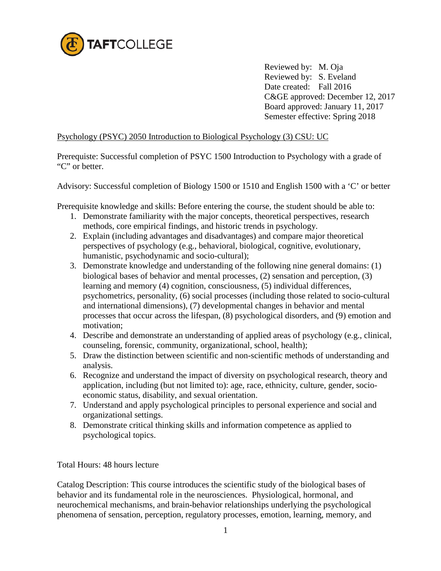

Reviewed by: M. Oja Reviewed by: S. Eveland Date created: Fall 2016 C&GE approved: December 12, 2017 Board approved: January 11, 2017 Semester effective: Spring 2018

## Psychology (PSYC) 2050 Introduction to Biological Psychology (3) CSU: UC

Prerequiste: Successful completion of PSYC 1500 Introduction to Psychology with a grade of "C" or better.

Advisory: Successful completion of Biology 1500 or 1510 and English 1500 with a 'C' or better

Prerequisite knowledge and skills: Before entering the course, the student should be able to:

- 1. Demonstrate familiarity with the major concepts, theoretical perspectives, research methods, core empirical findings, and historic trends in psychology.
- 2. Explain (including advantages and disadvantages) and compare major theoretical perspectives of psychology (e.g., behavioral, biological, cognitive, evolutionary, humanistic, psychodynamic and socio-cultural);
- 3. Demonstrate knowledge and understanding of the following nine general domains: (1) biological bases of behavior and mental processes, (2) sensation and perception, (3) learning and memory (4) cognition, consciousness, (5) individual differences, psychometrics, personality, (6) social processes (including those related to socio-cultural and international dimensions), (7) developmental changes in behavior and mental processes that occur across the lifespan, (8) psychological disorders, and (9) emotion and motivation;
- 4. Describe and demonstrate an understanding of applied areas of psychology (e.g., clinical, counseling, forensic, community, organizational, school, health);
- 5. Draw the distinction between scientific and non-scientific methods of understanding and analysis.
- 6. Recognize and understand the impact of diversity on psychological research, theory and application, including (but not limited to): age, race, ethnicity, culture, gender, socioeconomic status, disability, and sexual orientation.
- 7. Understand and apply psychological principles to personal experience and social and organizational settings.
- 8. Demonstrate critical thinking skills and information competence as applied to psychological topics.

Total Hours: 48 hours lecture

Catalog Description: This course introduces the scientific study of the biological bases of behavior and its fundamental role in the neurosciences. Physiological, hormonal, and neurochemical mechanisms, and brain-behavior relationships underlying the psychological phenomena of sensation, perception, regulatory processes, emotion, learning, memory, and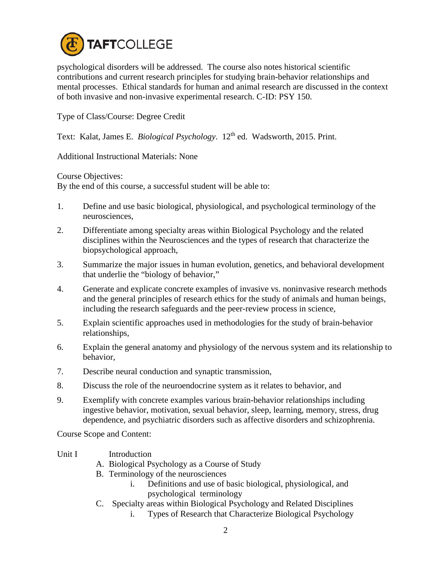

psychological disorders will be addressed. The course also notes historical scientific contributions and current research principles for studying brain-behavior relationships and mental processes. Ethical standards for human and animal research are discussed in the context of both invasive and non-invasive experimental research. C-ID: PSY 150.

Type of Class/Course: Degree Credit

Text: Kalat, James E. *Biological Psychology*. 12<sup>th</sup> ed. Wadsworth, 2015. Print.

Additional Instructional Materials: None

Course Objectives:

By the end of this course, a successful student will be able to:

- 1. Define and use basic biological, physiological, and psychological terminology of the neurosciences,
- 2. Differentiate among specialty areas within Biological Psychology and the related disciplines within the Neurosciences and the types of research that characterize the biopsychological approach,
- 3. Summarize the major issues in human evolution, genetics, and behavioral development that underlie the "biology of behavior,"
- 4. Generate and explicate concrete examples of invasive vs. noninvasive research methods and the general principles of research ethics for the study of animals and human beings, including the research safeguards and the peer-review process in science,
- 5. Explain scientific approaches used in methodologies for the study of brain-behavior relationships,
- 6. Explain the general anatomy and physiology of the nervous system and its relationship to behavior,
- 7. Describe neural conduction and synaptic transmission,
- 8. Discuss the role of the neuroendocrine system as it relates to behavior, and
- 9. Exemplify with concrete examples various brain-behavior relationships including ingestive behavior, motivation, sexual behavior, sleep, learning, memory, stress, drug dependence, and psychiatric disorders such as affective disorders and schizophrenia.

Course Scope and Content:

## Unit I Introduction

- A. Biological Psychology as a Course of Study
- B. Terminology of the neurosciences
	- i. Definitions and use of basic biological, physiological, and psychological terminology
- C. Specialty areas within Biological Psychology and Related Disciplines
	- i. Types of Research that Characterize Biological Psychology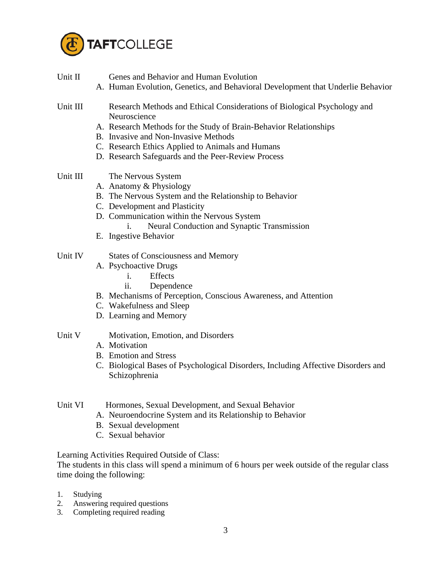

| Unit II  | Genes and Behavior and Human Evolution<br>A. Human Evolution, Genetics, and Behavioral Development that Underlie Behavior |
|----------|---------------------------------------------------------------------------------------------------------------------------|
| Unit III | Research Methods and Ethical Considerations of Biological Psychology and<br>Neuroscience                                  |
|          | A. Research Methods for the Study of Brain-Behavior Relationships                                                         |
|          | B. Invasive and Non-Invasive Methods                                                                                      |
|          | C. Research Ethics Applied to Animals and Humans                                                                          |
|          | D. Research Safeguards and the Peer-Review Process                                                                        |
| Unit III | The Nervous System                                                                                                        |
|          | A. Anatomy & Physiology                                                                                                   |
|          | B. The Nervous System and the Relationship to Behavior                                                                    |
|          | C. Development and Plasticity                                                                                             |
|          | D. Communication within the Nervous System                                                                                |
|          | Neural Conduction and Synaptic Transmission<br>i.<br>E. Ingestive Behavior                                                |
|          |                                                                                                                           |
| Unit IV  | <b>States of Consciousness and Memory</b>                                                                                 |
|          | A. Psychoactive Drugs                                                                                                     |
|          | Effects<br>$\mathbf{1}$ .                                                                                                 |
|          | ii.<br>Dependence                                                                                                         |
|          | B. Mechanisms of Perception, Conscious Awareness, and Attention                                                           |
|          | C. Wakefulness and Sleep<br>D. Learning and Memory                                                                        |
|          |                                                                                                                           |
| Unit V   | Motivation, Emotion, and Disorders                                                                                        |
|          | A. Motivation                                                                                                             |
|          | <b>B.</b> Emotion and Stress                                                                                              |
|          | C. Biological Bases of Psychological Disorders, Including Affective Disorders and                                         |
|          | Schizophrenia                                                                                                             |
|          |                                                                                                                           |
| Unit VI  | Hormones, Sexual Development, and Sexual Behavior                                                                         |
|          | A. Neuroendocrine System and its Relationship to Behavior                                                                 |
|          | B. Sexual development                                                                                                     |
|          | C. Sexual behavior                                                                                                        |
|          | Learning Activities Required Outside of Class:                                                                            |
|          | The students in this class will spend a minimum of 6 hours per week outside of the regular class                          |

The students in this class will spend a minimum of 6 hours per week outside of the regular class time doing the following:

- 1. Studying
- 2. Answering required questions
- 3. Completing required reading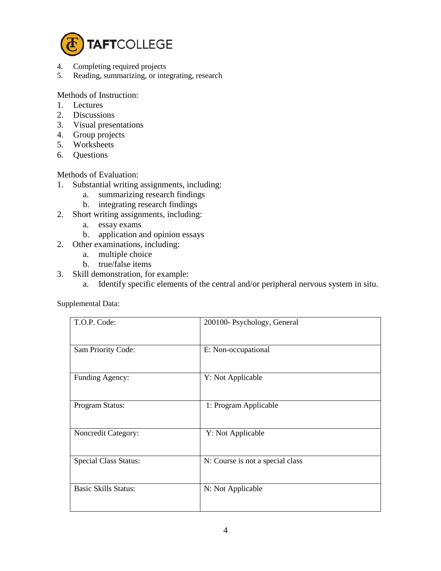

- 4. Completing required projects<br>5. Reading, summarizing, or inter-
- Reading, summarizing, or integrating, research

Methods of Instruction:

- 1. Lectures
- 2. Discussions
- 3. Visual presentations
- 4. Group projects
- 5. Worksheets
- 6. Questions

Methods of Evaluation:

- 1. Substantial writing assignments, including:
	- a. summarizing research findings
	- b. integrating research findings
- 2. Short writing assignments, including:
	- a. essay exams
	- b. application and opinion essays
- 2. Other examinations, including:
	- a. multiple choice
	- b. true/false items
- 3. Skill demonstration, for example:
	- a. Identify specific elements of the central and/or peripheral nervous system in situ.

Supplemental Data:

| T.O.P. Code:                 | 200100- Psychology, General      |
|------------------------------|----------------------------------|
| Sam Priority Code:           | E: Non-occupational              |
| Funding Agency:              | Y: Not Applicable                |
| Program Status:              | 1: Program Applicable            |
| Noncredit Category:          | Y: Not Applicable                |
| <b>Special Class Status:</b> | N: Course is not a special class |
| <b>Basic Skills Status:</b>  | N: Not Applicable                |